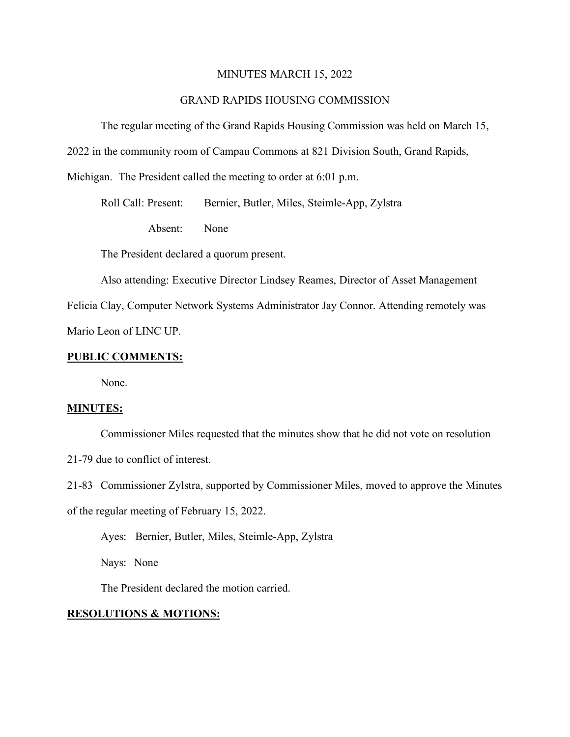#### MINUTES MARCH 15, 2022

#### GRAND RAPIDS HOUSING COMMISSION

The regular meeting of the Grand Rapids Housing Commission was held on March 15,

2022 in the community room of Campau Commons at 821 Division South, Grand Rapids,

Michigan. The President called the meeting to order at 6:01 p.m.

Roll Call: Present: Bernier, Butler, Miles, Steimle-App, Zylstra

Absent: None

The President declared a quorum present.

Also attending: Executive Director Lindsey Reames, Director of Asset Management

Felicia Clay, Computer Network Systems Administrator Jay Connor. Attending remotely was Mario Leon of LINC UP.

#### **PUBLIC COMMENTS:**

None.

#### **MINUTES:**

Commissioner Miles requested that the minutes show that he did not vote on resolution

21-79 due to conflict of interest.

21-83 Commissioner Zylstra, supported by Commissioner Miles, moved to approve the Minutes of the regular meeting of February 15, 2022.

Ayes: Bernier, Butler, Miles, Steimle-App, Zylstra

Nays: None

The President declared the motion carried.

#### **RESOLUTIONS & MOTIONS:**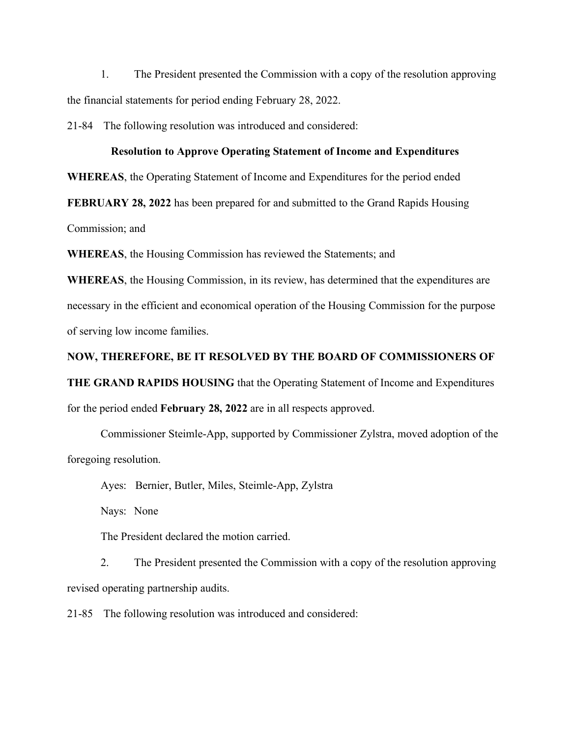1. The President presented the Commission with a copy of the resolution approving the financial statements for period ending February 28, 2022.

21-84 The following resolution was introduced and considered:

#### **Resolution to Approve Operating Statement of Income and Expenditures**

**WHEREAS**, the Operating Statement of Income and Expenditures for the period ended

**FEBRUARY 28, 2022** has been prepared for and submitted to the Grand Rapids Housing

Commission; and

**WHEREAS**, the Housing Commission has reviewed the Statements; and

**WHEREAS**, the Housing Commission, in its review, has determined that the expenditures are necessary in the efficient and economical operation of the Housing Commission for the purpose of serving low income families.

# **NOW, THEREFORE, BE IT RESOLVED BY THE BOARD OF COMMISSIONERS OF THE GRAND RAPIDS HOUSING** that the Operating Statement of Income and Expenditures

for the period ended **February 28, 2022** are in all respects approved.

Commissioner Steimle-App, supported by Commissioner Zylstra, moved adoption of the foregoing resolution.

Ayes: Bernier, Butler, Miles, Steimle-App, Zylstra

Nays: None

The President declared the motion carried.

2. The President presented the Commission with a copy of the resolution approving revised operating partnership audits.

21-85 The following resolution was introduced and considered: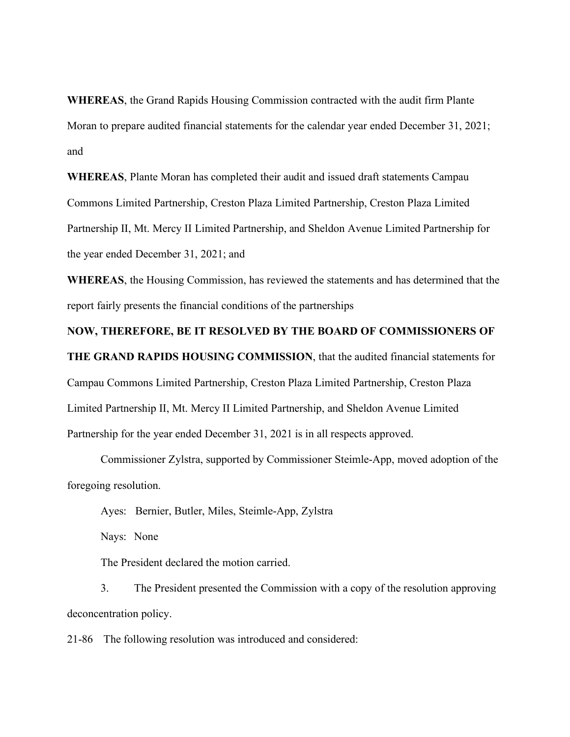**WHEREAS**, the Grand Rapids Housing Commission contracted with the audit firm Plante Moran to prepare audited financial statements for the calendar year ended December 31, 2021; and

**WHEREAS**, Plante Moran has completed their audit and issued draft statements Campau Commons Limited Partnership, Creston Plaza Limited Partnership, Creston Plaza Limited Partnership II, Mt. Mercy II Limited Partnership, and Sheldon Avenue Limited Partnership for the year ended December 31, 2021; and

**WHEREAS**, the Housing Commission, has reviewed the statements and has determined that the report fairly presents the financial conditions of the partnerships

#### **NOW, THEREFORE, BE IT RESOLVED BY THE BOARD OF COMMISSIONERS OF**

**THE GRAND RAPIDS HOUSING COMMISSION**, that the audited financial statements for Campau Commons Limited Partnership, Creston Plaza Limited Partnership, Creston Plaza Limited Partnership II, Mt. Mercy II Limited Partnership, and Sheldon Avenue Limited Partnership for the year ended December 31, 2021 is in all respects approved.

Commissioner Zylstra, supported by Commissioner Steimle-App, moved adoption of the foregoing resolution.

Ayes: Bernier, Butler, Miles, Steimle-App, Zylstra

Nays: None

The President declared the motion carried.

3. The President presented the Commission with a copy of the resolution approving deconcentration policy.

21-86 The following resolution was introduced and considered: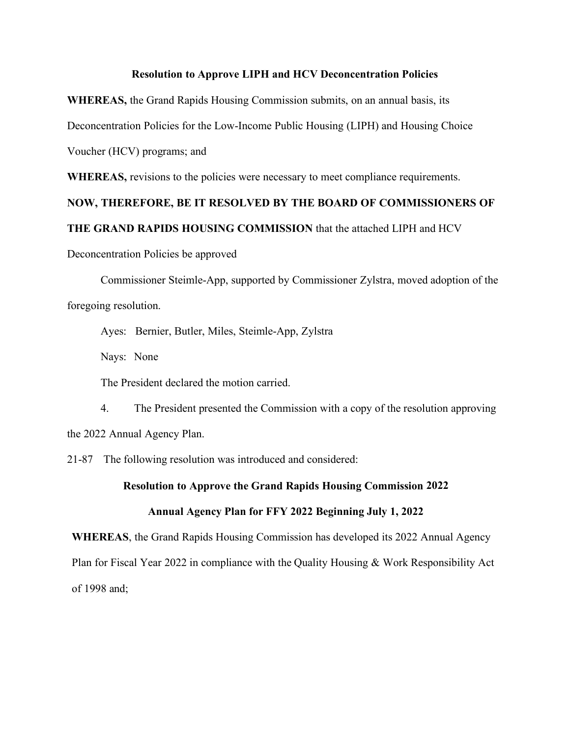#### **Resolution to Approve LIPH and HCV Deconcentration Policies**

**WHEREAS,** the Grand Rapids Housing Commission submits, on an annual basis, its

Deconcentration Policies for the Low-Income Public Housing (LIPH) and Housing Choice

Voucher (HCV) programs; and

**WHEREAS,** revisions to the policies were necessary to meet compliance requirements.

#### **NOW, THEREFORE, BE IT RESOLVED BY THE BOARD OF COMMISSIONERS OF**

#### **THE GRAND RAPIDS HOUSING COMMISSION** that the attached LIPH and HCV

Deconcentration Policies be approved

Commissioner Steimle-App, supported by Commissioner Zylstra, moved adoption of the foregoing resolution.

Ayes: Bernier, Butler, Miles, Steimle-App, Zylstra

Nays: None

The President declared the motion carried.

4. The President presented the Commission with a copy of the resolution approving the 2022 Annual Agency Plan.

21-87 The following resolution was introduced and considered:

#### **Resolution to Approve the Grand Rapids Housing Commission 2022**

#### **Annual Agency Plan for FFY 2022 Beginning July 1, 2022**

**WHEREAS**, the Grand Rapids Housing Commission has developed its 2022 Annual Agency Plan for Fiscal Year 2022 in compliance with the Quality Housing & Work Responsibility Act of 1998 and;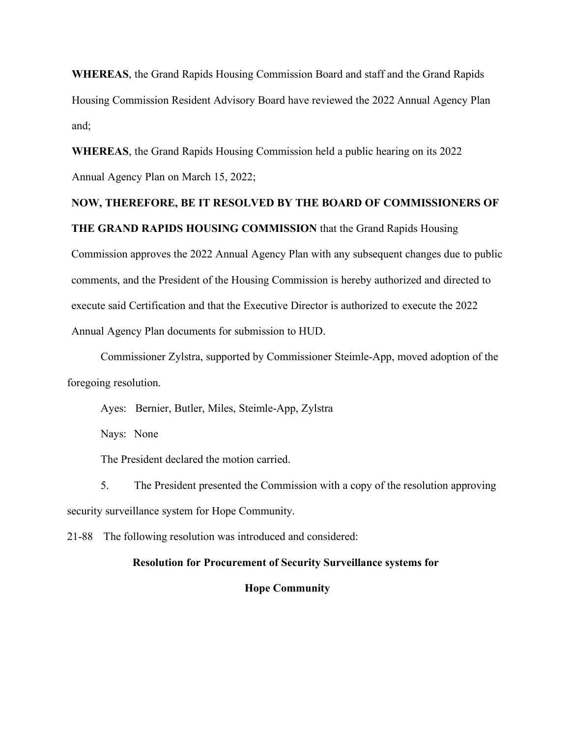**WHEREAS**, the Grand Rapids Housing Commission Board and staff and the Grand Rapids Housing Commission Resident Advisory Board have reviewed the 2022 Annual Agency Plan and;

**WHEREAS**, the Grand Rapids Housing Commission held a public hearing on its 2022 Annual Agency Plan on March 15, 2022;

**THE GRAND RAPIDS HOUSING COMMISSION** that the Grand Rapids Housing

## **NOW, THEREFORE, BE IT RESOLVED BY THE BOARD OF COMMISSIONERS OF**

Commission approves the 2022 Annual Agency Plan with any subsequent changes due to public comments, and the President of the Housing Commission is hereby authorized and directed to execute said Certification and that the Executive Director is authorized to execute the 2022 Annual Agency Plan documents for submission to HUD.

Commissioner Zylstra, supported by Commissioner Steimle-App, moved adoption of the foregoing resolution.

Ayes: Bernier, Butler, Miles, Steimle-App, Zylstra

Nays: None

The President declared the motion carried.

5. The President presented the Commission with a copy of the resolution approving security surveillance system for Hope Community.

21-88 The following resolution was introduced and considered:

#### **Resolution for Procurement of Security Surveillance systems for**

#### **Hope Community**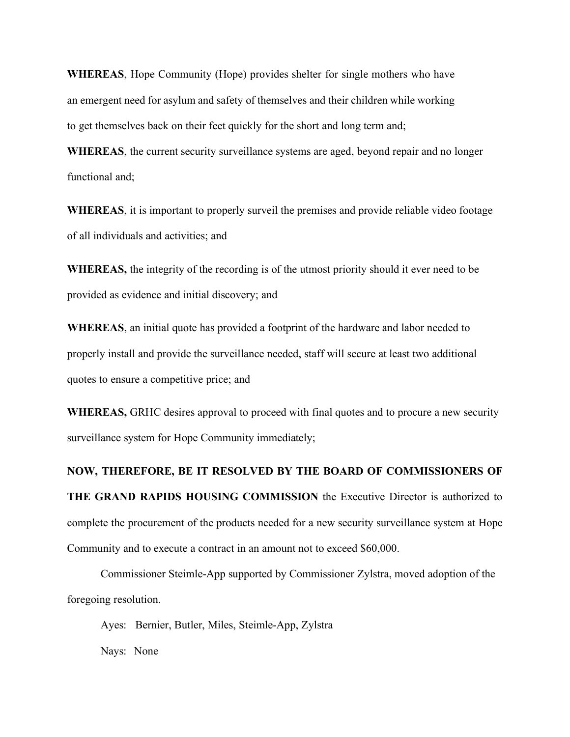**WHEREAS**, Hope Community (Hope) provides shelter for single mothers who have an emergent need for asylum and safety of themselves and their children while working to get themselves back on their feet quickly for the short and long term and;

**WHEREAS**, the current security surveillance systems are aged, beyond repair and no longer functional and;

**WHEREAS**, it is important to properly surveil the premises and provide reliable video footage of all individuals and activities; and

**WHEREAS,** the integrity of the recording is of the utmost priority should it ever need to be provided as evidence and initial discovery; and

**WHEREAS**, an initial quote has provided a footprint of the hardware and labor needed to properly install and provide the surveillance needed, staff will secure at least two additional quotes to ensure a competitive price; and

**WHEREAS,** GRHC desires approval to proceed with final quotes and to procure a new security surveillance system for Hope Community immediately;

**NOW, THEREFORE, BE IT RESOLVED BY THE BOARD OF COMMISSIONERS OF THE GRAND RAPIDS HOUSING COMMISSION** the Executive Director is authorized to complete the procurement of the products needed for a new security surveillance system at Hope Community and to execute a contract in an amount not to exceed \$60,000.

Commissioner Steimle-App supported by Commissioner Zylstra, moved adoption of the foregoing resolution.

Ayes: Bernier, Butler, Miles, Steimle-App, Zylstra

Nays: None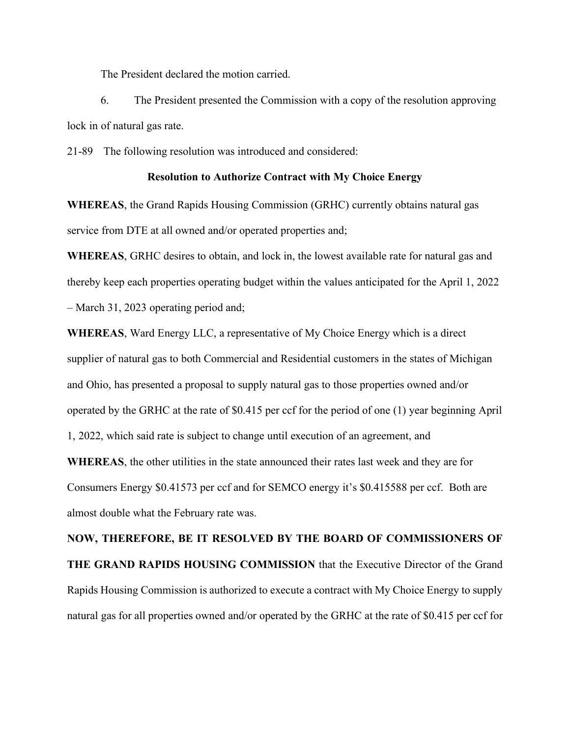The President declared the motion carried.

6. The President presented the Commission with a copy of the resolution approving lock in of natural gas rate.

21-89 The following resolution was introduced and considered:

#### **Resolution to Authorize Contract with My Choice Energy**

**WHEREAS**, the Grand Rapids Housing Commission (GRHC) currently obtains natural gas service from DTE at all owned and/or operated properties and;

**WHEREAS**, GRHC desires to obtain, and lock in, the lowest available rate for natural gas and thereby keep each properties operating budget within the values anticipated for the April 1, 2022 – March 31, 2023 operating period and;

**WHEREAS**, Ward Energy LLC, a representative of My Choice Energy which is a direct supplier of natural gas to both Commercial and Residential customers in the states of Michigan and Ohio, has presented a proposal to supply natural gas to those properties owned and/or operated by the GRHC at the rate of \$0.415 per ccf for the period of one (1) year beginning April 1, 2022, which said rate is subject to change until execution of an agreement, and **WHEREAS**, the other utilities in the state announced their rates last week and they are for

Consumers Energy \$0.41573 per ccf and for SEMCO energy it's \$0.415588 per ccf. Both are almost double what the February rate was.

**NOW, THEREFORE, BE IT RESOLVED BY THE BOARD OF COMMISSIONERS OF THE GRAND RAPIDS HOUSING COMMISSION** that the Executive Director of the Grand Rapids Housing Commission is authorized to execute a contract with My Choice Energy to supply natural gas for all properties owned and/or operated by the GRHC at the rate of \$0.415 per ccf for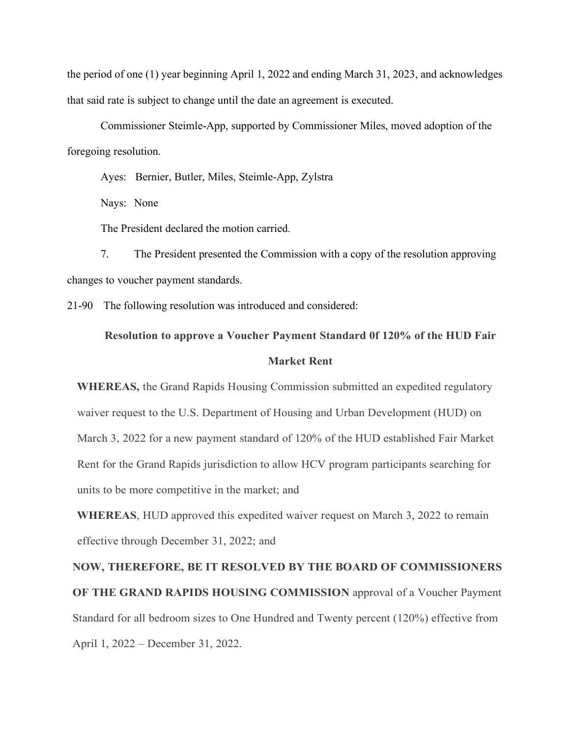the period of one (1) year beginning April 1, 2022 and ending March 31, 2023, and acknowledges that said rate is subject to change until the date an agreement is executed.

Commissioner Steimle-App, supported by Commissioner Miles, moved adoption of the foregoing resolution.

Ayes: Bernier, Butler, Miles, Steimle-App, Zylstra

Nays: None

The President declared the motion carried.

7. The President presented the Commission with a copy of the resolution approving changes to voucher payment standards.

21-90 The following resolution was introduced and considered:

### **Resolution to approve a Voucher Payment Standard 0f 120% of the HUD Fair Market Rent**

**WHEREAS,** the Grand Rapids Housing Commission submitted an expedited regulatory waiver request to the U.S. Department of Housing and Urban Development (HUD) on March 3, 2022 for a new payment standard of 120% of the HUD established Fair Market Rent for the Grand Rapids jurisdiction to allow HCV program participants searching for units to be more competitive in the market; and

**WHEREAS**, HUD approved this expedited waiver request on March 3, 2022 to remain effective through December 31, 2022; and

**NOW, THEREFORE, BE IT RESOLVED BY THE BOARD OF COMMISSIONERS OF THE GRAND RAPIDS HOUSING COMMISSION** approval of a Voucher Payment Standard for all bedroom sizes to One Hundred and Twenty percent (120%) effective from April 1, 2022 – December 31, 2022.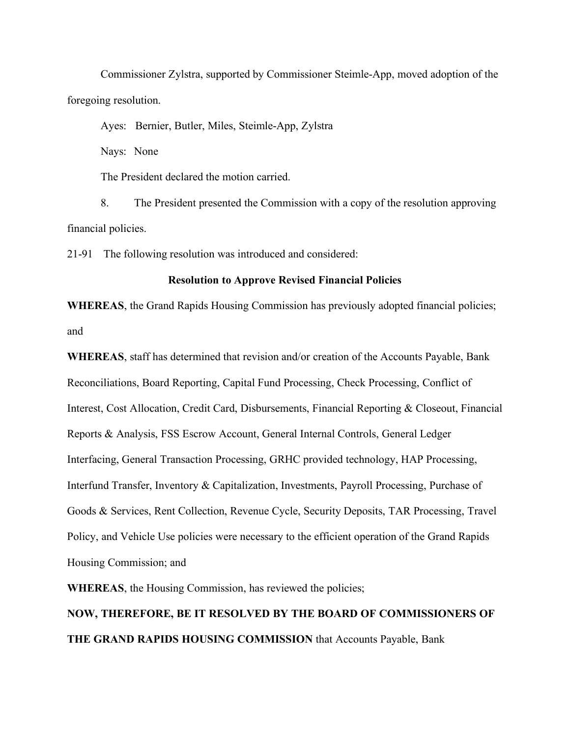Commissioner Zylstra, supported by Commissioner Steimle-App, moved adoption of the foregoing resolution.

Ayes: Bernier, Butler, Miles, Steimle-App, Zylstra

Nays: None

The President declared the motion carried.

8. The President presented the Commission with a copy of the resolution approving financial policies.

21-91 The following resolution was introduced and considered:

#### **Resolution to Approve Revised Financial Policies**

**WHEREAS**, the Grand Rapids Housing Commission has previously adopted financial policies; and

**WHEREAS**, staff has determined that revision and/or creation of the Accounts Payable, Bank Reconciliations, Board Reporting, Capital Fund Processing, Check Processing, Conflict of Interest, Cost Allocation, Credit Card, Disbursements, Financial Reporting & Closeout, Financial Reports & Analysis, FSS Escrow Account, General Internal Controls, General Ledger Interfacing, General Transaction Processing, GRHC provided technology, HAP Processing, Interfund Transfer, Inventory & Capitalization, Investments, Payroll Processing, Purchase of Goods & Services, Rent Collection, Revenue Cycle, Security Deposits, TAR Processing, Travel Policy, and Vehicle Use policies were necessary to the efficient operation of the Grand Rapids Housing Commission; and

**WHEREAS**, the Housing Commission, has reviewed the policies;

### **NOW, THEREFORE, BE IT RESOLVED BY THE BOARD OF COMMISSIONERS OF THE GRAND RAPIDS HOUSING COMMISSION** that Accounts Payable, Bank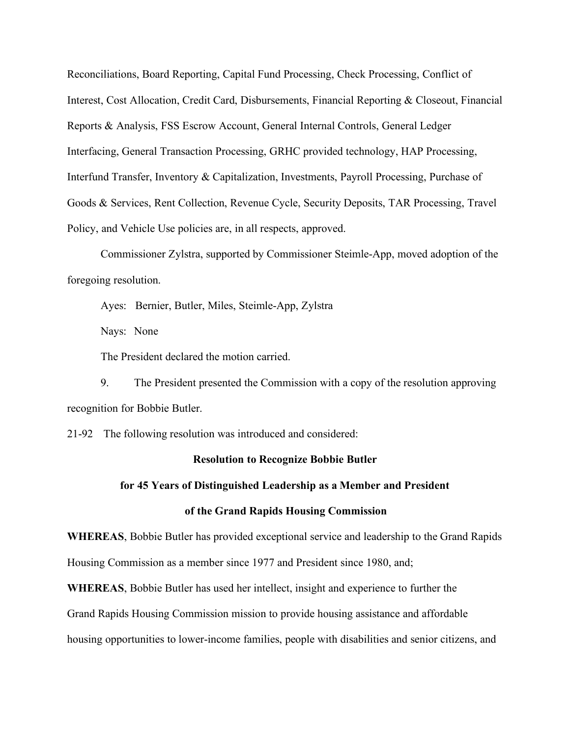Reconciliations, Board Reporting, Capital Fund Processing, Check Processing, Conflict of Interest, Cost Allocation, Credit Card, Disbursements, Financial Reporting & Closeout, Financial Reports & Analysis, FSS Escrow Account, General Internal Controls, General Ledger Interfacing, General Transaction Processing, GRHC provided technology, HAP Processing, Interfund Transfer, Inventory & Capitalization, Investments, Payroll Processing, Purchase of Goods & Services, Rent Collection, Revenue Cycle, Security Deposits, TAR Processing, Travel Policy, and Vehicle Use policies are, in all respects, approved.

Commissioner Zylstra, supported by Commissioner Steimle-App, moved adoption of the foregoing resolution.

Ayes: Bernier, Butler, Miles, Steimle-App, Zylstra

Nays: None

The President declared the motion carried.

9. The President presented the Commission with a copy of the resolution approving recognition for Bobbie Butler.

21-92 The following resolution was introduced and considered:

#### **Resolution to Recognize Bobbie Butler**

#### **for 45 Years of Distinguished Leadership as a Member and President**

#### **of the Grand Rapids Housing Commission**

**WHEREAS**, Bobbie Butler has provided exceptional service and leadership to the Grand Rapids Housing Commission as a member since 1977 and President since 1980, and;

**WHEREAS**, Bobbie Butler has used her intellect, insight and experience to further the

Grand Rapids Housing Commission mission to provide housing assistance and affordable

housing opportunities to lower-income families, people with disabilities and senior citizens, and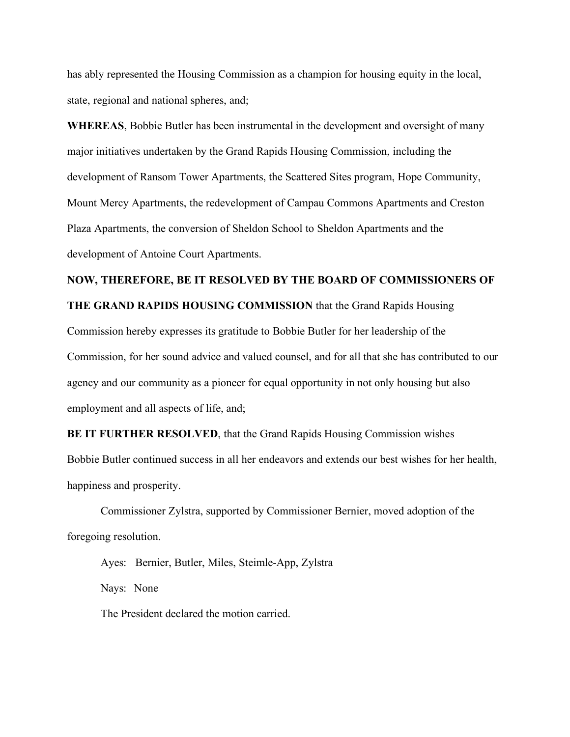has ably represented the Housing Commission as a champion for housing equity in the local, state, regional and national spheres, and;

**WHEREAS**, Bobbie Butler has been instrumental in the development and oversight of many major initiatives undertaken by the Grand Rapids Housing Commission, including the development of Ransom Tower Apartments, the Scattered Sites program, Hope Community, Mount Mercy Apartments, the redevelopment of Campau Commons Apartments and Creston Plaza Apartments, the conversion of Sheldon School to Sheldon Apartments and the development of Antoine Court Apartments.

## **NOW, THEREFORE, BE IT RESOLVED BY THE BOARD OF COMMISSIONERS OF THE GRAND RAPIDS HOUSING COMMISSION** that the Grand Rapids Housing Commission hereby expresses its gratitude to Bobbie Butler for her leadership of the Commission, for her sound advice and valued counsel, and for all that she has contributed to our agency and our community as a pioneer for equal opportunity in not only housing but also employment and all aspects of life, and;

**BE IT FURTHER RESOLVED**, that the Grand Rapids Housing Commission wishes Bobbie Butler continued success in all her endeavors and extends our best wishes for her health, happiness and prosperity.

Commissioner Zylstra, supported by Commissioner Bernier, moved adoption of the foregoing resolution.

Ayes: Bernier, Butler, Miles, Steimle-App, Zylstra Nays: None The President declared the motion carried.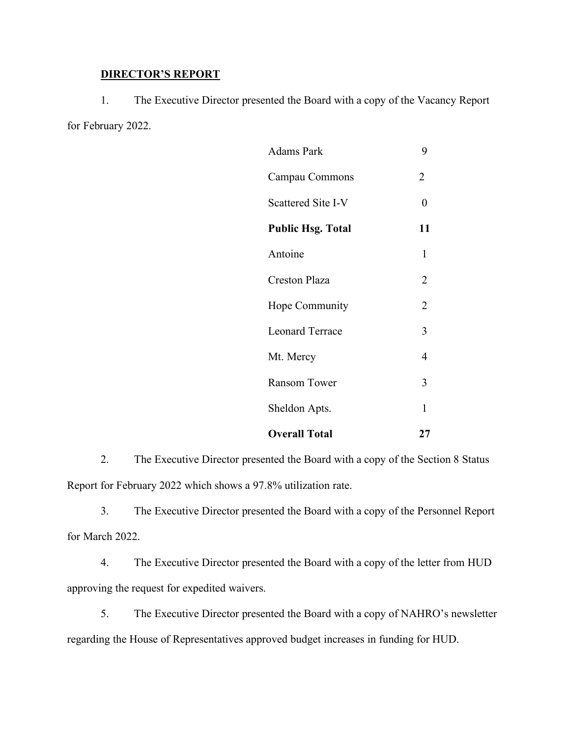#### **DIRECTOR'S REPORT**

1. The Executive Director presented the Board with a copy of the Vacancy Report for February 2022.

| <b>Adams Park</b>        | 9              |
|--------------------------|----------------|
| Campau Commons           | 2              |
| Scattered Site I-V       | 0              |
| <b>Public Hsg. Total</b> | 11             |
| Antoine                  | 1              |
| <b>Creston Plaza</b>     | 2              |
| Hope Community           | $\overline{2}$ |
| <b>Leonard Terrace</b>   | 3              |
| Mt. Mercy                | 4              |
| <b>Ransom Tower</b>      | 3              |
| Sheldon Apts.            | 1              |
| <b>Overall Total</b>     | 27             |

2. The Executive Director presented the Board with a copy of the Section 8 Status Report for February 2022 which shows a 97.8% utilization rate.

3. The Executive Director presented the Board with a copy of the Personnel Report for March 2022.

4. The Executive Director presented the Board with a copy of the letter from HUD approving the request for expedited waivers.

5. The Executive Director presented the Board with a copy of NAHRO's newsletter regarding the House of Representatives approved budget increases in funding for HUD.